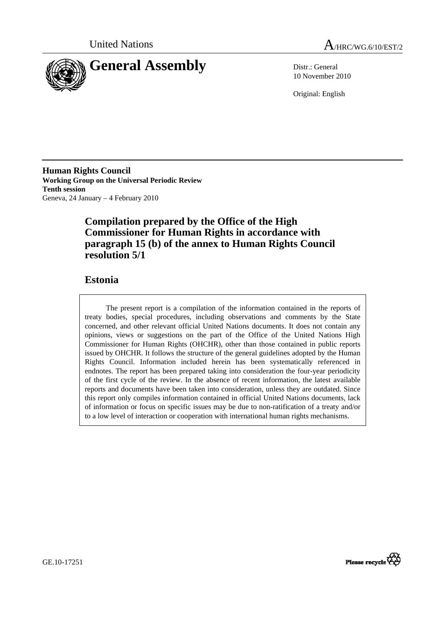



10 November 2010

Original: English

**Human Rights Council Working Group on the Universal Periodic Review Tenth session**  Geneva, 24 January – 4 February 2010

# **Compilation prepared by the Office of the High Commissioner for Human Rights in accordance with paragraph 15 (b) of the annex to Human Rights Council resolution 5/1**

# **Estonia**

The present report is a compilation of the information contained in the reports of treaty bodies, special procedures, including observations and comments by the State concerned, and other relevant official United Nations documents. It does not contain any opinions, views or suggestions on the part of the Office of the United Nations High Commissioner for Human Rights (OHCHR), other than those contained in public reports issued by OHCHR. It follows the structure of the general guidelines adopted by the Human Rights Council. Information included herein has been systematically referenced in endnotes. The report has been prepared taking into consideration the four-year periodicity of the first cycle of the review. In the absence of recent information, the latest available reports and documents have been taken into consideration, unless they are outdated. Since this report only compiles information contained in official United Nations documents, lack of information or focus on specific issues may be due to non-ratification of a treaty and/or to a low level of interaction or cooperation with international human rights mechanisms.



GE.10-17251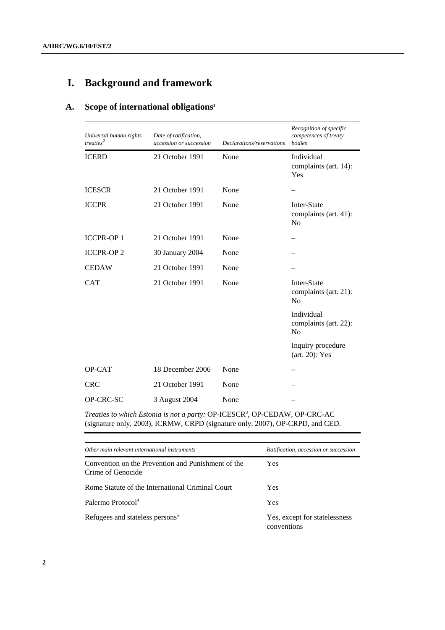# **I. Background and framework**

# **A. Scope of international obligations1**

| Universal human rights<br>treaties <sup>2</sup> | Date of ratification,<br>accession or succession | Declarations/reservations | Recognition of specific<br>competences of treaty<br>bodies |
|-------------------------------------------------|--------------------------------------------------|---------------------------|------------------------------------------------------------|
| <b>ICERD</b>                                    | 21 October 1991                                  | None                      | Individual<br>complaints (art. 14):<br>Yes                 |
| <b>ICESCR</b>                                   | 21 October 1991                                  | None                      |                                                            |
| <b>ICCPR</b>                                    | 21 October 1991                                  | None                      | Inter-State<br>complaints (art. 41):<br>N <sub>0</sub>     |
| <b>ICCPR-OP1</b>                                | 21 October 1991                                  | None                      |                                                            |
| <b>ICCPR-OP2</b>                                | 30 January 2004                                  | None                      |                                                            |
| <b>CEDAW</b>                                    | 21 October 1991                                  | None                      |                                                            |
| <b>CAT</b>                                      | 21 October 1991                                  | None                      | Inter-State<br>complaints (art. 21):<br>No                 |
|                                                 |                                                  |                           | Individual<br>complaints (art. 22):<br>N <sub>o</sub>      |
|                                                 |                                                  |                           | Inquiry procedure<br>(art. 20): Yes                        |
| OP-CAT                                          | 18 December 2006                                 | None                      |                                                            |
| <b>CRC</b>                                      | 21 October 1991                                  | None                      |                                                            |
| OP-CRC-SC                                       | 3 August 2004                                    | None                      |                                                            |

*Treaties to which Estonia is not a party:* OP-ICESCR3 , OP-CEDAW, OP-CRC-AC (signature only, 2003), ICRMW, CRPD (signature only, 2007), OP-CRPD, and CED.

| Other main relevant international instruments                           | Ratification, accession or succession        |
|-------------------------------------------------------------------------|----------------------------------------------|
| Convention on the Prevention and Punishment of the<br>Crime of Genocide | Yes                                          |
| Rome Statute of the International Criminal Court                        | <b>Yes</b>                                   |
| Palermo Protocol <sup>4</sup>                                           | Yes                                          |
| Refugees and stateless persons <sup>5</sup>                             | Yes, except for statelessness<br>conventions |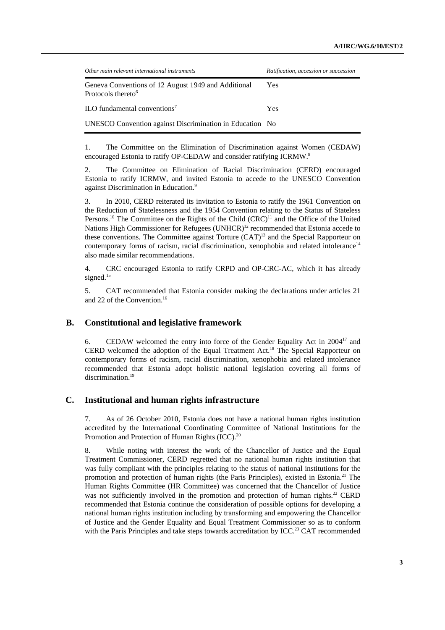| Other main relevant international instruments                                         | Ratification, accession or succession |
|---------------------------------------------------------------------------------------|---------------------------------------|
| Geneva Conventions of 12 August 1949 and Additional<br>Protocols thereto <sup>6</sup> | Yes                                   |
| ILO fundamental conventions'                                                          | Yes                                   |
| UNESCO Convention against Discrimination in Education No                              |                                       |

1. The Committee on the Elimination of Discrimination against Women (CEDAW) encouraged Estonia to ratify OP-CEDAW and consider ratifying ICRMW.<sup>8</sup>

2. The Committee on Elimination of Racial Discrimination (CERD) encouraged Estonia to ratify ICRMW, and invited Estonia to accede to the UNESCO Convention against Discrimination in Education.9

3. In 2010, CERD reiterated its invitation to Estonia to ratify the 1961 Convention on the Reduction of Statelessness and the 1954 Convention relating to the Status of Stateless Persons.<sup>10</sup> The Committee on the Rights of the Child (CRC)<sup>11</sup> and the Office of the United Nations High Commissioner for Refugees (UNHCR)<sup>12</sup> recommended that Estonia accede to these conventions. The Committee against Torture (CAT)<sup>13</sup> and the Special Rapporteur on contemporary forms of racism, racial discrimination, xenophobia and related intolerance<sup>14</sup> also made similar recommendations.

4. CRC encouraged Estonia to ratify CRPD and OP-CRC-AC, which it has already signed. $15$ 

5. CAT recommended that Estonia consider making the declarations under articles 21 and 22 of the Convention.16

#### **B. Constitutional and legislative framework**

6. CEDAW welcomed the entry into force of the Gender Equality Act in 200417 and CERD welcomed the adoption of the Equal Treatment Act.18 The Special Rapporteur on contemporary forms of racism, racial discrimination, xenophobia and related intolerance recommended that Estonia adopt holistic national legislation covering all forms of discrimination.<sup>19</sup>

#### **C. Institutional and human rights infrastructure**

7. As of 26 October 2010, Estonia does not have a national human rights institution accredited by the International Coordinating Committee of National Institutions for the Promotion and Protection of Human Rights (ICC).<sup>20</sup>

8. While noting with interest the work of the Chancellor of Justice and the Equal Treatment Commissioner, CERD regretted that no national human rights institution that was fully compliant with the principles relating to the status of national institutions for the promotion and protection of human rights (the Paris Principles), existed in Estonia.<sup>21</sup> The Human Rights Committee (HR Committee) was concerned that the Chancellor of Justice was not sufficiently involved in the promotion and protection of human rights.<sup>22</sup> CERD recommended that Estonia continue the consideration of possible options for developing a national human rights institution including by transforming and empowering the Chancellor of Justice and the Gender Equality and Equal Treatment Commissioner so as to conform with the Paris Principles and take steps towards accreditation by ICC.<sup>23</sup> CAT recommended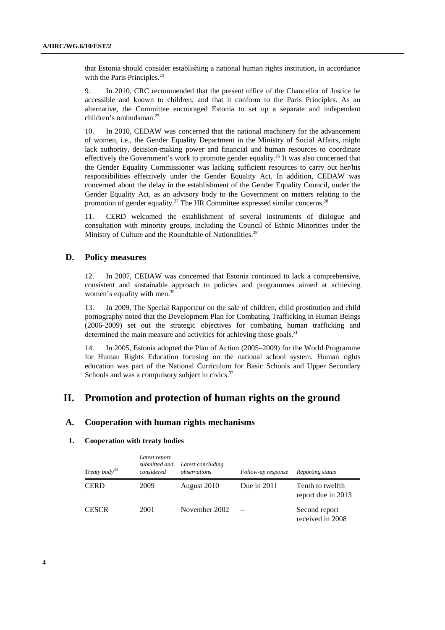that Estonia should consider establishing a national human rights institution, in accordance with the Paris Principles.<sup>24</sup>

9. In 2010, CRC recommended that the present office of the Chancellor of Justice be accessible and known to children, and that it conform to the Paris Principles. As an alternative, the Committee encouraged Estonia to set up a separate and independent children's ombudsman.<sup>25</sup>

10. In 2010, CEDAW was concerned that the national machinery for the advancement of women, i.e., the Gender Equality Department in the Ministry of Social Affairs, might lack authority, decision-making power and financial and human resources to coordinate effectively the Government's work to promote gender equality.<sup>26</sup> It was also concerned that the Gender Equality Commissioner was lacking sufficient resources to carry out her/his responsibilities effectively under the Gender Equality Act. In addition, CEDAW was concerned about the delay in the establishment of the Gender Equality Council, under the Gender Equality Act, as an advisory body to the Government on matters relating to the promotion of gender equality.<sup>27</sup> The HR Committee expressed similar concerns.<sup>28</sup>

11. CERD welcomed the establishment of several instruments of dialogue and consultation with minority groups, including the Council of Ethnic Minorities under the Ministry of Culture and the Roundtable of Nationalities.<sup>29</sup>

#### **D. Policy measures**

12. In 2007, CEDAW was concerned that Estonia continued to lack a comprehensive, consistent and sustainable approach to policies and programmes aimed at achieving women's equality with men. $30$ 

13. In 2009, The Special Rapporteur on the sale of children, child prostitution and child pornography noted that the Development Plan for Combating Trafficking in Human Beings (2006-2009) set out the strategic objectives for combating human trafficking and determined the main measure and activities for achieving those goals.<sup>31</sup>

14. In 2005, Estonia adopted the Plan of Action (2005–2009) for the World Programme for Human Rights Education focusing on the national school system. Human rights education was part of the National Curriculum for Basic Schools and Upper Secondary Schools and was a compulsory subject in civics.<sup>32</sup>

## **II. Promotion and protection of human rights on the ground**

#### **A. Cooperation with human rights mechanisms**

#### **1. Cooperation with treaty bodies**

| Treaty body <sup>33</sup> | Latest report<br>submitted and<br>considered | Latest concluding<br>observations | Follow-up response | Reporting status                       |
|---------------------------|----------------------------------------------|-----------------------------------|--------------------|----------------------------------------|
| <b>CERD</b>               | 2009                                         | August 2010                       | Due in $2011$      | Tenth to twelfth<br>report due in 2013 |
| <b>CESCR</b>              | 2001                                         | November 2002                     |                    | Second report<br>received in 2008      |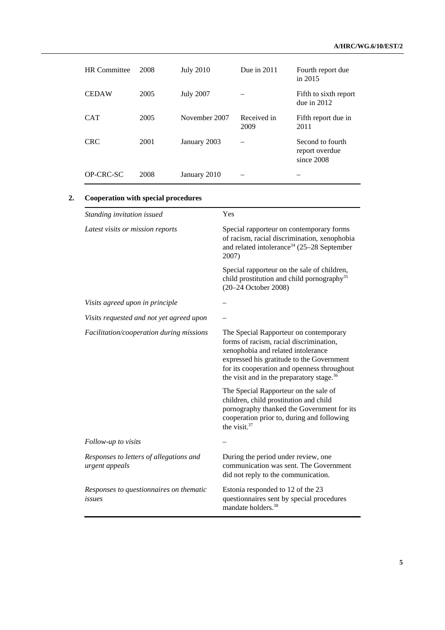| <b>HR</b> Committee | 2008 | <b>July 2010</b> | Due in $2011$       | Fourth report due<br>in 2015                     |
|---------------------|------|------------------|---------------------|--------------------------------------------------|
| <b>CEDAW</b>        | 2005 | <b>July 2007</b> |                     | Fifth to sixth report<br>due in $2012$           |
| <b>CAT</b>          | 2005 | November 2007    | Received in<br>2009 | Fifth report due in<br>2011                      |
| <b>CRC</b>          | 2001 | January 2003     |                     | Second to fourth<br>report overdue<br>since 2008 |
| OP-CRC-SC           | 2008 | January 2010     |                     |                                                  |

### **2. Cooperation with special procedures**

| Standing invitation issued                                | Yes                                                                                                                                                                                                                                                                          |  |
|-----------------------------------------------------------|------------------------------------------------------------------------------------------------------------------------------------------------------------------------------------------------------------------------------------------------------------------------------|--|
| Latest visits or mission reports                          | Special rapporteur on contemporary forms<br>of racism, racial discrimination, xenophobia<br>and related intolerance <sup>34</sup> (25–28 September<br>2007)                                                                                                                  |  |
|                                                           | Special rapporteur on the sale of children,<br>child prostitution and child pornography <sup>35</sup><br>(20-24 October 2008)                                                                                                                                                |  |
| Visits agreed upon in principle                           |                                                                                                                                                                                                                                                                              |  |
| Visits requested and not yet agreed upon                  |                                                                                                                                                                                                                                                                              |  |
| Facilitation/cooperation during missions                  | The Special Rapporteur on contemporary<br>forms of racism, racial discrimination,<br>xenophobia and related intolerance<br>expressed his gratitude to the Government<br>for its cooperation and openness throughout<br>the visit and in the preparatory stage. <sup>36</sup> |  |
|                                                           | The Special Rapporteur on the sale of<br>children, child prostitution and child<br>pornography thanked the Government for its<br>cooperation prior to, during and following<br>the visit. <sup>37</sup>                                                                      |  |
| Follow-up to visits                                       |                                                                                                                                                                                                                                                                              |  |
| Responses to letters of allegations and<br>urgent appeals | During the period under review, one<br>communication was sent. The Government<br>did not reply to the communication.                                                                                                                                                         |  |
| Responses to questionnaires on thematic<br>issues         | Estonia responded to 12 of the 23<br>questionnaires sent by special procedures<br>mandate holders. <sup>38</sup>                                                                                                                                                             |  |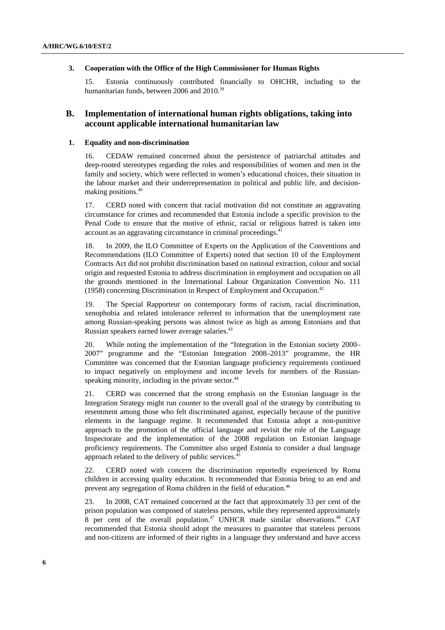#### **3. Cooperation with the Office of the High Commissioner for Human Rights**

15. Estonia continuously contributed financially to OHCHR, including to the humanitarian funds, between 2006 and 2010.<sup>39</sup>

### **B. Implementation of international human rights obligations, taking into account applicable international humanitarian law**

#### **1. Equality and non-discrimination**

16. CEDAW remained concerned about the persistence of patriarchal attitudes and deep-rooted stereotypes regarding the roles and responsibilities of women and men in the family and society, which were reflected in women's educational choices, their situation in the labour market and their underrepresentation in political and public life, and decisionmaking positions.40

17. CERD noted with concern that racial motivation did not constitute an aggravating circumstance for crimes and recommended that Estonia include a specific provision to the Penal Code to ensure that the motive of ethnic, racial or religious hatred is taken into account as an aggravating circumstance in criminal proceedings.<sup>41</sup>

18. In 2009, the ILO Committee of Experts on the Application of the Conventions and Recommendations (ILO Committee of Experts) noted that section 10 of the Employment Contracts Act did not prohibit discrimination based on national extraction, colour and social origin and requested Estonia to address discrimination in employment and occupation on all the grounds mentioned in the International Labour Organization Convention No. 111 (1958) concerning Discrimination in Respect of Employment and Occupation.<sup>42</sup>

19. The Special Rapporteur on contemporary forms of racism, racial discrimination, xenophobia and related intolerance referred to information that the unemployment rate among Russian-speaking persons was almost twice as high as among Estonians and that Russian speakers earned lower average salaries.<sup>43</sup>

20. While noting the implementation of the "Integration in the Estonian society 2000– 2007" programme and the "Estonian Integration 2008–2013" programme, the HR Committee was concerned that the Estonian language proficiency requirements continued to impact negatively on employment and income levels for members of the Russianspeaking minority, including in the private sector.<sup>44</sup>

21. CERD was concerned that the strong emphasis on the Estonian language in the Integration Strategy might run counter to the overall goal of the strategy by contributing to resentment among those who felt discriminated against, especially because of the punitive elements in the language regime. It recommended that Estonia adopt a non-punitive approach to the promotion of the official language and revisit the role of the Language Inspectorate and the implementation of the 2008 regulation on Estonian language proficiency requirements. The Committee also urged Estonia to consider a dual language approach related to the delivery of public services.<sup>45</sup>

22. CERD noted with concern the discrimination reportedly experienced by Roma children in accessing quality education. It recommended that Estonia bring to an end and prevent any segregation of Roma children in the field of education.46

23. In 2008, CAT remained concerned at the fact that approximately 33 per cent of the prison population was composed of stateless persons, while they represented approximately  $8$  per cent of the overall population.<sup>47</sup> UNHCR made similar observations.<sup>48</sup> CAT recommended that Estonia should adopt the measures to guarantee that stateless persons and non-citizens are informed of their rights in a language they understand and have access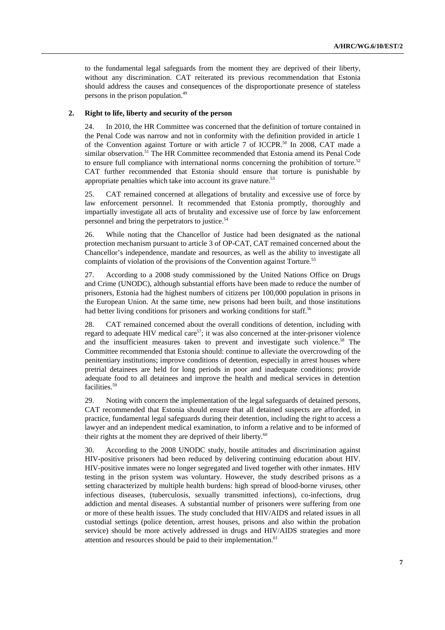to the fundamental legal safeguards from the moment they are deprived of their liberty, without any discrimination. CAT reiterated its previous recommendation that Estonia should address the causes and consequences of the disproportionate presence of stateless persons in the prison population.<sup>49</sup>

#### **2. Right to life, liberty and security of the person**

24. In 2010, the HR Committee was concerned that the definition of torture contained in the Penal Code was narrow and not in conformity with the definition provided in article 1 of the Convention against Torture or with article 7 of ICCPR.<sup>50</sup> In 2008, CAT made a similar observation.<sup>51</sup> The HR Committee recommended that Estonia amend its Penal Code to ensure full compliance with international norms concerning the prohibition of torture.<sup>52</sup> CAT further recommended that Estonia should ensure that torture is punishable by appropriate penalties which take into account its grave nature. $53$ 

25. CAT remained concerned at allegations of brutality and excessive use of force by law enforcement personnel. It recommended that Estonia promptly, thoroughly and impartially investigate all acts of brutality and excessive use of force by law enforcement personnel and bring the perpetrators to justice.<sup>54</sup>

26. While noting that the Chancellor of Justice had been designated as the national protection mechanism pursuant to article 3 of OP-CAT, CAT remained concerned about the Chancellor's independence, mandate and resources, as well as the ability to investigate all complaints of violation of the provisions of the Convention against Torture.<sup>55</sup>

27. According to a 2008 study commissioned by the United Nations Office on Drugs and Crime (UNODC), although substantial efforts have been made to reduce the number of prisoners, Estonia had the highest numbers of citizens per 100,000 population in prisons in the European Union. At the same time, new prisons had been built, and those institutions had better living conditions for prisoners and working conditions for staff.<sup>56</sup>

28. CAT remained concerned about the overall conditions of detention, including with regard to adequate HIV medical care<sup>57</sup>; it was also concerned at the inter-prisoner violence and the insufficient measures taken to prevent and investigate such violence.<sup>58</sup> The Committee recommended that Estonia should: continue to alleviate the overcrowding of the penitentiary institutions; improve conditions of detention, especially in arrest houses where pretrial detainees are held for long periods in poor and inadequate conditions; provide adequate food to all detainees and improve the health and medical services in detention facilities.<sup>59</sup>

29. Noting with concern the implementation of the legal safeguards of detained persons, CAT recommended that Estonia should ensure that all detained suspects are afforded, in practice, fundamental legal safeguards during their detention, including the right to access a lawyer and an independent medical examination, to inform a relative and to be informed of their rights at the moment they are deprived of their liberty.<sup>60</sup>

30. According to the 2008 UNODC study, hostile attitudes and discrimination against HIV-positive prisoners had been reduced by delivering continuing education about HIV. HIV-positive inmates were no longer segregated and lived together with other inmates. HIV testing in the prison system was voluntary. However, the study described prisons as a setting characterized by multiple health burdens: high spread of blood-borne viruses, other infectious diseases, (tuberculosis, sexually transmitted infections), co-infections, drug addiction and mental diseases. A substantial number of prisoners were suffering from one or more of these health issues. The study concluded that HIV/AIDS and related issues in all custodial settings (police detention, arrest houses, prisons and also within the probation service) should be more actively addressed in drugs and HIV/AIDS strategies and more attention and resources should be paid to their implementation.<sup>61</sup>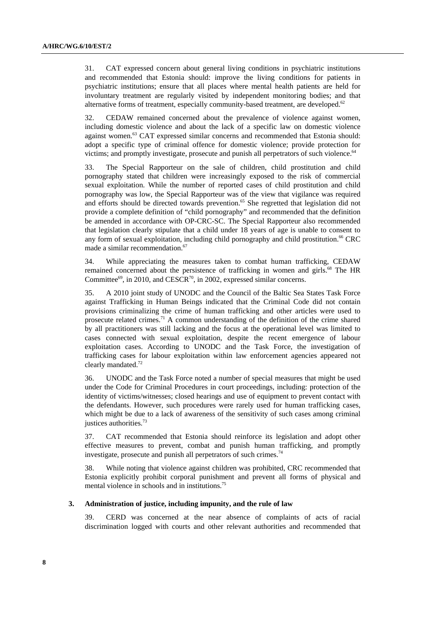31. CAT expressed concern about general living conditions in psychiatric institutions and recommended that Estonia should: improve the living conditions for patients in psychiatric institutions; ensure that all places where mental health patients are held for involuntary treatment are regularly visited by independent monitoring bodies; and that alternative forms of treatment, especially community-based treatment, are developed.<sup>62</sup>

32. CEDAW remained concerned about the prevalence of violence against women, including domestic violence and about the lack of a specific law on domestic violence against women.<sup>63</sup> CAT expressed similar concerns and recommended that Estonia should: adopt a specific type of criminal offence for domestic violence; provide protection for victims; and promptly investigate, prosecute and punish all perpetrators of such violence.<sup>64</sup>

33. The Special Rapporteur on the sale of children, child prostitution and child pornography stated that children were increasingly exposed to the risk of commercial sexual exploitation. While the number of reported cases of child prostitution and child pornography was low, the Special Rapporteur was of the view that vigilance was required and efforts should be directed towards prevention.<sup>65</sup> She regretted that legislation did not provide a complete definition of "child pornography" and recommended that the definition be amended in accordance with OP-CRC-SC. The Special Rapporteur also recommended that legislation clearly stipulate that a child under 18 years of age is unable to consent to any form of sexual exploitation, including child pornography and child prostitution.<sup>66</sup> CRC made a similar recommendation.<sup>67</sup>

34. While appreciating the measures taken to combat human trafficking, CEDAW remained concerned about the persistence of trafficking in women and girls.<sup>68</sup> The HR Committee<sup>69</sup>, in 2010, and CESCR<sup>70</sup>, in 2002, expressed similar concerns.

35. A 2010 joint study of UNODC and the Council of the Baltic Sea States Task Force against Trafficking in Human Beings indicated that the Criminal Code did not contain provisions criminalizing the crime of human trafficking and other articles were used to prosecute related crimes.<sup>71</sup> A common understanding of the definition of the crime shared by all practitioners was still lacking and the focus at the operational level was limited to cases connected with sexual exploitation, despite the recent emergence of labour exploitation cases. According to UNODC and the Task Force, the investigation of trafficking cases for labour exploitation within law enforcement agencies appeared not clearly mandated.<sup>72</sup>

36. UNODC and the Task Force noted a number of special measures that might be used under the Code for Criminal Procedures in court proceedings, including: protection of the identity of victims/witnesses; closed hearings and use of equipment to prevent contact with the defendants. However, such procedures were rarely used for human trafficking cases, which might be due to a lack of awareness of the sensitivity of such cases among criminal justices authorities.73

37. CAT recommended that Estonia should reinforce its legislation and adopt other effective measures to prevent, combat and punish human trafficking, and promptly investigate, prosecute and punish all perpetrators of such crimes.<sup>74</sup>

38. While noting that violence against children was prohibited, CRC recommended that Estonia explicitly prohibit corporal punishment and prevent all forms of physical and mental violence in schools and in institutions.<sup>75</sup>

#### **3. Administration of justice, including impunity, and the rule of law**

39. CERD was concerned at the near absence of complaints of acts of racial discrimination logged with courts and other relevant authorities and recommended that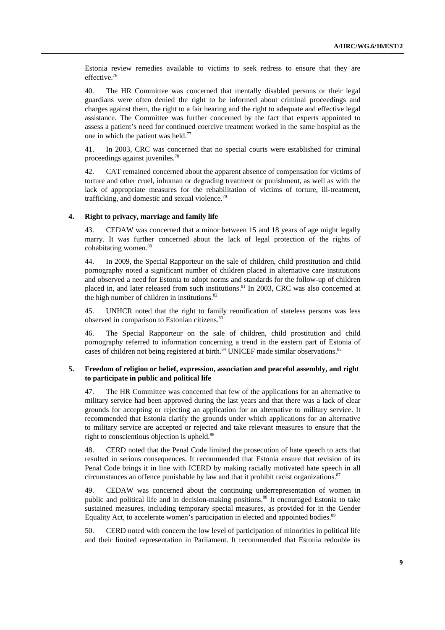Estonia review remedies available to victims to seek redress to ensure that they are effective.<sup>76</sup>

40. The HR Committee was concerned that mentally disabled persons or their legal guardians were often denied the right to be informed about criminal proceedings and charges against them, the right to a fair hearing and the right to adequate and effective legal assistance. The Committee was further concerned by the fact that experts appointed to assess a patient's need for continued coercive treatment worked in the same hospital as the one in which the patient was held.<sup>77</sup>

41. In 2003, CRC was concerned that no special courts were established for criminal proceedings against juveniles.78

42. CAT remained concerned about the apparent absence of compensation for victims of torture and other cruel, inhuman or degrading treatment or punishment, as well as with the lack of appropriate measures for the rehabilitation of victims of torture, ill-treatment, trafficking, and domestic and sexual violence.<sup>79</sup>

#### **4. Right to privacy, marriage and family life**

43. CEDAW was concerned that a minor between 15 and 18 years of age might legally marry. It was further concerned about the lack of legal protection of the rights of cohabitating women.<sup>80</sup>

44. In 2009, the Special Rapporteur on the sale of children, child prostitution and child pornography noted a significant number of children placed in alternative care institutions and observed a need for Estonia to adopt norms and standards for the follow-up of children placed in, and later released from such institutions.<sup>81</sup> In 2003, CRC was also concerned at the high number of children in institutions.<sup>82</sup>

45. UNHCR noted that the right to family reunification of stateless persons was less observed in comparison to Estonian citizens.<sup>83</sup>

46. The Special Rapporteur on the sale of children, child prostitution and child pornography referred to information concerning a trend in the eastern part of Estonia of cases of children not being registered at birth.<sup>84</sup> UNICEF made similar observations.<sup>85</sup>

#### **5. Freedom of religion or belief, expression, association and peaceful assembly, and right to participate in public and political life**

47. The HR Committee was concerned that few of the applications for an alternative to military service had been approved during the last years and that there was a lack of clear grounds for accepting or rejecting an application for an alternative to military service. It recommended that Estonia clarify the grounds under which applications for an alternative to military service are accepted or rejected and take relevant measures to ensure that the right to conscientious objection is upheld.<sup>86</sup>

48. CERD noted that the Penal Code limited the prosecution of hate speech to acts that resulted in serious consequences. It recommended that Estonia ensure that revision of its Penal Code brings it in line with ICERD by making racially motivated hate speech in all circumstances an offence punishable by law and that it prohibit racist organizations.<sup>87</sup>

49. CEDAW was concerned about the continuing underrepresentation of women in public and political life and in decision-making positions.<sup>88</sup> It encouraged Estonia to take sustained measures, including temporary special measures, as provided for in the Gender Equality Act, to accelerate women's participation in elected and appointed bodies.<sup>89</sup>

50. CERD noted with concern the low level of participation of minorities in political life and their limited representation in Parliament. It recommended that Estonia redouble its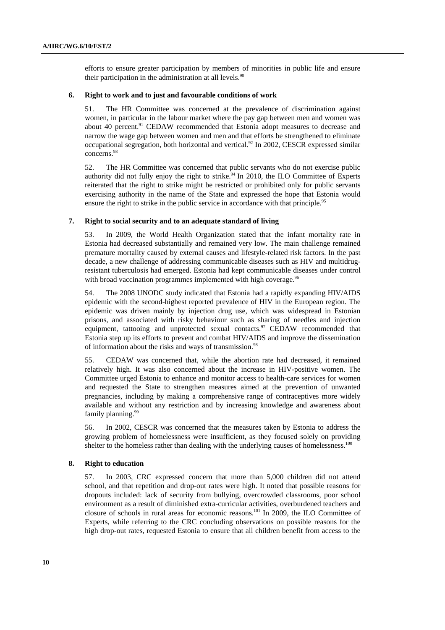efforts to ensure greater participation by members of minorities in public life and ensure their participation in the administration at all levels. $90$ 

#### **6. Right to work and to just and favourable conditions of work**

51. The HR Committee was concerned at the prevalence of discrimination against women, in particular in the labour market where the pay gap between men and women was about 40 percent.<sup>91</sup> CEDAW recommended that Estonia adopt measures to decrease and narrow the wage gap between women and men and that efforts be strengthened to eliminate occupational segregation, both horizontal and vertical.<sup>92</sup> In 2002, CESCR expressed similar concerns.93

52. The HR Committee was concerned that public servants who do not exercise public authority did not fully enjoy the right to strike.<sup>94</sup> In 2010, the ILO Committee of Experts reiterated that the right to strike might be restricted or prohibited only for public servants exercising authority in the name of the State and expressed the hope that Estonia would ensure the right to strike in the public service in accordance with that principle.<sup>95</sup>

#### **7. Right to social security and to an adequate standard of living**

53. In 2009, the World Health Organization stated that the infant mortality rate in Estonia had decreased substantially and remained very low. The main challenge remained premature mortality caused by external causes and lifestyle-related risk factors. In the past decade, a new challenge of addressing communicable diseases such as HIV and multidrugresistant tuberculosis had emerged. Estonia had kept communicable diseases under control with broad vaccination programmes implemented with high coverage.<sup>96</sup>

54. The 2008 UNODC study indicated that Estonia had a rapidly expanding HIV/AIDS epidemic with the second-highest reported prevalence of HIV in the European region. The epidemic was driven mainly by injection drug use, which was widespread in Estonian prisons, and associated with risky behaviour such as sharing of needles and injection equipment, tattooing and unprotected sexual contacts.<sup>97</sup> CEDAW recommended that Estonia step up its efforts to prevent and combat HIV/AIDS and improve the dissemination of information about the risks and ways of transmission.<sup>98</sup>

55. CEDAW was concerned that, while the abortion rate had decreased, it remained relatively high. It was also concerned about the increase in HIV-positive women. The Committee urged Estonia to enhance and monitor access to health-care services for women and requested the State to strengthen measures aimed at the prevention of unwanted pregnancies, including by making a comprehensive range of contraceptives more widely available and without any restriction and by increasing knowledge and awareness about family planning.<sup>99</sup>

56. In 2002, CESCR was concerned that the measures taken by Estonia to address the growing problem of homelessness were insufficient, as they focused solely on providing shelter to the homeless rather than dealing with the underlying causes of homelessness.<sup>100</sup>

#### **8. Right to education**

57. In 2003, CRC expressed concern that more than 5,000 children did not attend school, and that repetition and drop-out rates were high. It noted that possible reasons for dropouts included: lack of security from bullying, overcrowded classrooms, poor school environment as a result of diminished extra-curricular activities, overburdened teachers and closure of schools in rural areas for economic reasons.101 In 2009, the ILO Committee of Experts, while referring to the CRC concluding observations on possible reasons for the high drop-out rates, requested Estonia to ensure that all children benefit from access to the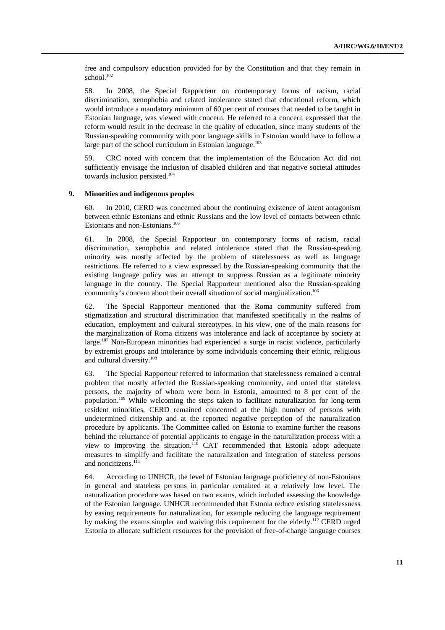free and compulsory education provided for by the Constitution and that they remain in school.<sup>102</sup>

58. In 2008, the Special Rapporteur on contemporary forms of racism, racial discrimination, xenophobia and related intolerance stated that educational reform, which would introduce a mandatory minimum of 60 per cent of courses that needed to be taught in Estonian language, was viewed with concern. He referred to a concern expressed that the reform would result in the decrease in the quality of education, since many students of the Russian-speaking community with poor language skills in Estonian would have to follow a large part of the school curriculum in Estonian language. $103$ 

59. CRC noted with concern that the implementation of the Education Act did not sufficiently envisage the inclusion of disabled children and that negative societal attitudes towards inclusion persisted.104

#### **9. Minorities and indigenous peoples**

60. In 2010, CERD was concerned about the continuing existence of latent antagonism between ethnic Estonians and ethnic Russians and the low level of contacts between ethnic Estonians and non-Estonians.<sup>105</sup>

61. In 2008, the Special Rapporteur on contemporary forms of racism, racial discrimination, xenophobia and related intolerance stated that the Russian-speaking minority was mostly affected by the problem of statelessness as well as language restrictions. He referred to a view expressed by the Russian-speaking community that the existing language policy was an attempt to suppress Russian as a legitimate minority language in the country. The Special Rapporteur mentioned also the Russian-speaking community's concern about their overall situation of social marginalization.<sup>106</sup>

62. The Special Rapporteur mentioned that the Roma community suffered from stigmatization and structural discrimination that manifested specifically in the realms of education, employment and cultural stereotypes. In his view, one of the main reasons for the marginalization of Roma citizens was intolerance and lack of acceptance by society at  $\text{large}$ .<sup>107</sup> Non-European minorities had experienced a surge in racist violence, particularly by extremist groups and intolerance by some individuals concerning their ethnic, religious and cultural diversity.108

63. The Special Rapporteur referred to information that statelessness remained a central problem that mostly affected the Russian-speaking community, and noted that stateless persons, the majority of whom were born in Estonia, amounted to 8 per cent of the population.109 While welcoming the steps taken to facilitate naturalization for long-term resident minorities, CERD remained concerned at the high number of persons with undetermined citizenship and at the reported negative perception of the naturalization procedure by applicants. The Committee called on Estonia to examine further the reasons behind the reluctance of potential applicants to engage in the naturalization process with a view to improving the situation.110 CAT recommended that Estonia adopt adequate measures to simplify and facilitate the naturalization and integration of stateless persons and noncitizens.<sup>111</sup>

64. According to UNHCR, the level of Estonian language proficiency of non-Estonians in general and stateless persons in particular remained at a relatively low level. The naturalization procedure was based on two exams, which included assessing the knowledge of the Estonian language. UNHCR recommended that Estonia reduce existing statelessness by easing requirements for naturalization, for example reducing the language requirement by making the exams simpler and waiving this requirement for the elderly.<sup>112</sup> CERD urged Estonia to allocate sufficient resources for the provision of free-of-charge language courses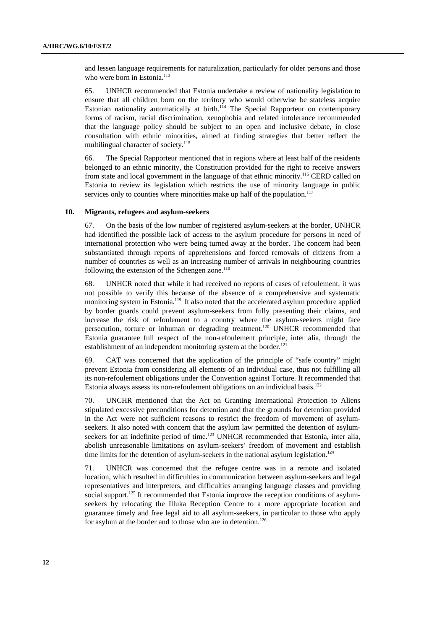and lessen language requirements for naturalization, particularly for older persons and those who were born in Estonia.<sup>113</sup>

65. UNHCR recommended that Estonia undertake a review of nationality legislation to ensure that all children born on the territory who would otherwise be stateless acquire Estonian nationality automatically at birth.<sup>114</sup> The Special Rapporteur on contemporary forms of racism, racial discrimination, xenophobia and related intolerance recommended that the language policy should be subject to an open and inclusive debate, in close consultation with ethnic minorities, aimed at finding strategies that better reflect the multilingual character of society.<sup>115</sup>

66. The Special Rapporteur mentioned that in regions where at least half of the residents belonged to an ethnic minority, the Constitution provided for the right to receive answers from state and local government in the language of that ethnic minority.<sup>116</sup> CERD called on Estonia to review its legislation which restricts the use of minority language in public services only to counties where minorities make up half of the population.<sup>117</sup>

#### **10. Migrants, refugees and asylum-seekers**

67. On the basis of the low number of registered asylum-seekers at the border, UNHCR had identified the possible lack of access to the asylum procedure for persons in need of international protection who were being turned away at the border. The concern had been substantiated through reports of apprehensions and forced removals of citizens from a number of countries as well as an increasing number of arrivals in neighbouring countries following the extension of the Schengen zone. $118$ 

68. UNHCR noted that while it had received no reports of cases of refoulement, it was not possible to verify this because of the absence of a comprehensive and systematic monitoring system in Estonia.<sup>119</sup> It also noted that the accelerated asylum procedure applied by border guards could prevent asylum-seekers from fully presenting their claims, and increase the risk of refoulement to a country where the asylum-seekers might face persecution, torture or inhuman or degrading treatment.<sup>120</sup> UNHCR recommended that Estonia guarantee full respect of the non-refoulement principle, inter alia, through the establishment of an independent monitoring system at the border.<sup>121</sup>

69. CAT was concerned that the application of the principle of "safe country" might prevent Estonia from considering all elements of an individual case, thus not fulfilling all its non-refoulement obligations under the Convention against Torture. It recommended that Estonia always assess its non-refoulement obligations on an individual basis.<sup>122</sup>

70. UNCHR mentioned that the Act on Granting International Protection to Aliens stipulated excessive preconditions for detention and that the grounds for detention provided in the Act were not sufficient reasons to restrict the freedom of movement of asylumseekers. It also noted with concern that the asylum law permitted the detention of asylumseekers for an indefinite period of time.<sup>123</sup> UNHCR recommended that Estonia, inter alia, abolish unreasonable limitations on asylum-seekers' freedom of movement and establish time limits for the detention of asylum-seekers in the national asylum legislation.<sup>124</sup>

71. UNHCR was concerned that the refugee centre was in a remote and isolated location, which resulted in difficulties in communication between asylum-seekers and legal representatives and interpreters, and difficulties arranging language classes and providing social support.<sup>125</sup> It recommended that Estonia improve the reception conditions of asylumseekers by relocating the Illuka Reception Centre to a more appropriate location and guarantee timely and free legal aid to all asylum-seekers, in particular to those who apply for asylum at the border and to those who are in detention.<sup>126</sup>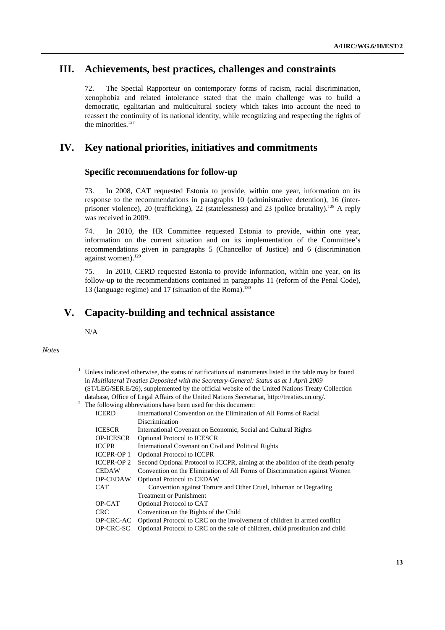# **III. Achievements, best practices, challenges and constraints**

72. The Special Rapporteur on contemporary forms of racism, racial discrimination, xenophobia and related intolerance stated that the main challenge was to build a democratic, egalitarian and multicultural society which takes into account the need to reassert the continuity of its national identity, while recognizing and respecting the rights of the minorities. $127$ 

# **IV. Key national priorities, initiatives and commitments**

#### **Specific recommendations for follow-up**

73. In 2008, CAT requested Estonia to provide, within one year, information on its response to the recommendations in paragraphs 10 (administrative detention), 16 (interprisoner violence), 20 (trafficking), 22 (statelessness) and 23 (police brutality).<sup>128</sup> A reply was received in 2009.

74. In 2010, the HR Committee requested Estonia to provide, within one year, information on the current situation and on its implementation of the Committee's recommendations given in paragraphs 5 (Chancellor of Justice) and 6 (discrimination against women).<sup>129</sup>

75. In 2010, CERD requested Estonia to provide information, within one year, on its follow-up to the recommendations contained in paragraphs 11 (reform of the Penal Code), 13 (language regime) and 17 (situation of the Roma).<sup>130</sup>

# **V. Capacity-building and technical assistance**

N/A

#### *Notes*

| <sup>1</sup> Unless indicated otherwise, the status of ratifications of instruments listed in the table may be found |
|----------------------------------------------------------------------------------------------------------------------|
| in Multilateral Treaties Deposited with the Secretary-General: Status as at 1 April 2009                             |
| (ST/LEG/SER.E/26), supplemented by the official website of the United Nations Treaty Collection                      |
| database, Office of Legal Affairs of the United Nations Secretariat, http://treaties.un.org/.                        |
| $2\degree$ The following abbreviations have been used for this document:                                             |

| <b>ICERD</b>      | International Convention on the Elimination of All Forms of Racial              |
|-------------------|---------------------------------------------------------------------------------|
|                   | Discrimination                                                                  |
| <b>ICESCR</b>     | International Covenant on Economic, Social and Cultural Rights                  |
| <b>OP-ICESCR</b>  | <b>Optional Protocol to ICESCR</b>                                              |
| <b>ICCPR</b>      | International Covenant on Civil and Political Rights                            |
| <b>ICCPR-OP 1</b> | <b>Optional Protocol to ICCPR</b>                                               |
| <b>ICCPR-OP 2</b> | Second Optional Protocol to ICCPR, aiming at the abolition of the death penalty |
| <b>CEDAW</b>      | Convention on the Elimination of All Forms of Discrimination against Women      |
| <b>OP-CEDAW</b>   | <b>Optional Protocol to CEDAW</b>                                               |
| CAT               | Convention against Torture and Other Cruel, Inhuman or Degrading                |
|                   | <b>Treatment or Punishment</b>                                                  |
| OP-CAT            | Optional Protocol to CAT                                                        |
| <b>CRC</b>        | Convention on the Rights of the Child                                           |
| OP-CRC-AC         | Optional Protocol to CRC on the involvement of children in armed conflict       |
| OP-CRC-SC         | Optional Protocol to CRC on the sale of children, child prostitution and child  |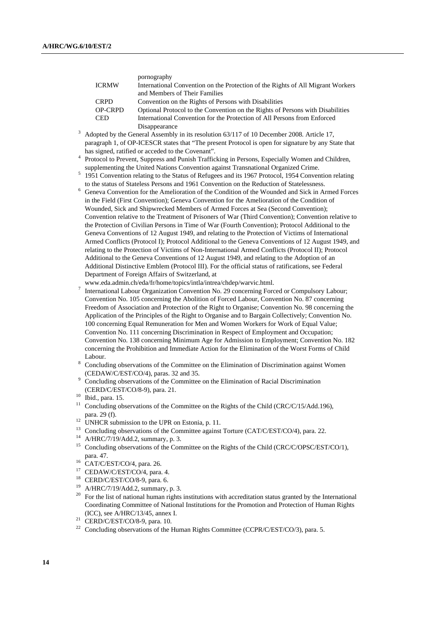|                | pornography                                                                               |
|----------------|-------------------------------------------------------------------------------------------|
| <b>ICRMW</b>   | International Convention on the Protection of the Rights of All Migrant Workers           |
|                | and Members of Their Families                                                             |
| <b>CRPD</b>    | Convention on the Rights of Persons with Disabilities                                     |
| <b>OP-CRPD</b> | Optional Protocol to the Convention on the Rights of Persons with Disabilities            |
| <b>CED</b>     | International Convention for the Protection of All Persons from Enforced                  |
|                | Disappearance                                                                             |
|                | Adopted by the General Assembly in its resolution 63/117 of 10 December 2008. Article 17, |

- paragraph 1, of OP-ICESCR states that "The present Protocol is open for signature by any State that has signed, ratified or acceded to the Covenant".
- <sup>4</sup> Protocol to Prevent, Suppress and Punish Trafficking in Persons, Especially Women and Children, supplementing the United Nations Convention against Transnational Organized Crime. 5
- <sup>5</sup> 1951 Convention relating to the Status of Refugees and its 1967 Protocol, 1954 Convention relating to the status of Stateless Persons and 1961 Convention on the Reduction of Statelessness.
- <sup>6</sup> Geneva Convention for the Amelioration of the Condition of the Wounded and Sick in Armed Forces in the Field (First Convention); Geneva Convention for the Amelioration of the Condition of Wounded, Sick and Shipwrecked Members of Armed Forces at Sea (Second Convention); Convention relative to the Treatment of Prisoners of War (Third Convention); Convention relative to the Protection of Civilian Persons in Time of War (Fourth Convention); Protocol Additional to the Geneva Conventions of 12 August 1949, and relating to the Protection of Victims of International Armed Conflicts (Protocol I); Protocol Additional to the Geneva Conventions of 12 August 1949, and relating to the Protection of Victims of Non-International Armed Conflicts (Protocol II); Protocol Additional to the Geneva Conventions of 12 August 1949, and relating to the Adoption of an Additional Distinctive Emblem (Protocol III). For the official status of ratifications, see Federal Department of Foreign Affairs of Switzerland, at
- www.eda.admin.ch/eda/fr/home/topics/intla/intrea/chdep/warvic.html. 7
- International Labour Organization Convention No. 29 concerning Forced or Compulsory Labour; Convention No. 105 concerning the Abolition of Forced Labour, Convention No. 87 concerning Freedom of Association and Protection of the Right to Organise; Convention No. 98 concerning the Application of the Principles of the Right to Organise and to Bargain Collectively; Convention No. 100 concerning Equal Remuneration for Men and Women Workers for Work of Equal Value; Convention No. 111 concerning Discrimination in Respect of Employment and Occupation; Convention No. 138 concerning Minimum Age for Admission to Employment; Convention No. 182 concerning the Prohibition and Immediate Action for the Elimination of the Worst Forms of Child Labour.
- Concluding observations of the Committee on the Elimination of Discrimination against Women  $^9$  Concluding observations of the Committee on the Elimination of Racial Discrimination<br><sup>9</sup> Concluding observations of the Committee on the Elimination of Racial Discrimination
- (CERD/C/EST/CO/8-9), para. 21. 10 Ibid., para. 15.
- 
- <sup>11</sup> Concluding observations of the Committee on the Rights of the Child (CRC/C/15/Add.196), para. 29 (f).
- $\frac{12}{2}$  UNHCR submission to the UPR on Estonia, p. 11.
- <sup>13</sup> Concluding observations of the Committee against Torture (CAT/C/EST/CO/4), para. 22.<br><sup>14</sup> A/HRC/7/19/Add.2, summary, p. 3.
- 
- <sup>15</sup> Concluding observations of the Committee on the Rights of the Child (CRC/C/OPSC/EST/CO/1), para. 47.<br><sup>16</sup> CAT/C/EST/CO/4, para. 26.
- 
- <sup>17</sup> CEDAW/C/EST/CO/4, para. 4.
- <sup>18</sup> CERD/C/EST/CO/8-9, para. 6.<br><sup>19</sup> A/HBC/7/10/Add 2. summary.
- 19 A/HRC/7/19/Add.2, summary, p. 3.
- <sup>20</sup> For the list of national human rights institutions with accreditation status granted by the International Coordinating Committee of National Institutions for the Promotion and Protection of Human Rights (ICC), see A/HRC/13/45, annex I. 21 CERD/C/EST/CO/8-9, para. 10.
- 
- <sup>22</sup> Concluding observations of the Human Rights Committee (CCPR/C/EST/CO/3), para. 5.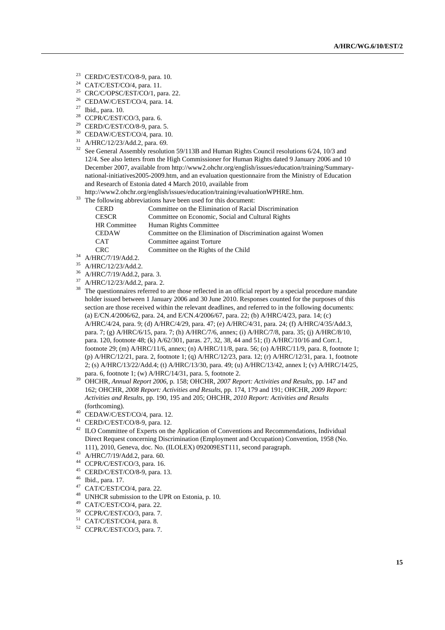- 23 CERD/C/EST/CO/8-9, para. 10.
- <sup>24</sup> CAT/C/EST/CO/4, para. 11.<br><sup>25</sup> CDC/C/ODSC/EST/CO/1 rs
- CRC/C/OPSC/EST/CO/1, para. 22.
- $26$  CEDAW/C/EST/CO/4, para. 14.
- $\frac{27}{28}$  Ibid., para. 10.
- CCPR/C/EST/CO/3, para. 6.
- 29 CERD/C/EST/CO/8-9, para. 5.
- <sup>30</sup> CEDAW/C/EST/CO/4, para. 10.<br> $^{31}$  A/HDC/12/22/A44.2, para. 60.
- A/HRC/12/23/Add.2, para. 69.
- <sup>32</sup> See General Assembly resolution 59/113B and Human Rights Council resolutions 6/24, 10/3 and 12/4. See also letters from the High Commissioner for Human Rights dated 9 January 2006 and 10 December 2007, available from http://www2.ohchr.org/english/issues/education/training/Summarynational-initiatives2005-2009.htm, and an evaluation questionnaire from the Ministry of Education and Research of Estonia dated 4 March 2010, available from
- http://www2.ohchr.org/english/issues/education/training/evaluationWPHRE.htm.<br><sup>33</sup> The following abbreviations have been used for this document:
- 

| <b>CERD</b>         | Committee on the Elimination of Racial Discrimination        |
|---------------------|--------------------------------------------------------------|
| <b>CESCR</b>        | Committee on Economic, Social and Cultural Rights            |
| <b>HR</b> Committee | Human Rights Committee                                       |
| <b>CEDAW</b>        | Committee on the Elimination of Discrimination against Women |
| <b>CAT</b>          | Committee against Torture                                    |
| <b>CRC</b>          | Committee on the Rights of the Child                         |

- $^{34}$  A/HRC/7/19/Add.2.<br> $^{35}$  A/HRC/12/22/Add.2.
- $^{35}$  A/HRC/12/23/Add.2.
- $^{36}$  A/HRC/7/19/Add.2, para. 3.<br> $^{37}$  A/HRC/12/22/Add.2, para. 2
- A/HRC/12/23/Add.2, para. 2.
- <sup>38</sup> The questionnaires referred to are those reflected in an official report by a special procedure mandate holder issued between 1 January 2006 and 30 June 2010. Responses counted for the purposes of this section are those received within the relevant deadlines, and referred to in the following documents: (a) E/CN.4/2006/62, para. 24, and E/CN.4/2006/67, para. 22; (b) A/HRC/4/23, para. 14; (c) A/HRC/4/24, para. 9; (d) A/HRC/4/29, para. 47; (e) A/HRC/4/31, para. 24; (f) A/HRC/4/35/Add.3, para. 7; (g) A/HRC/6/15, para. 7; (h) A/HRC/7/6, annex; (i) A/HRC/7/8, para. 35; (j) A/HRC/8/10, para. 120, footnote 48; (k) A/62/301, paras. 27, 32, 38, 44 and 51; (l) A/HRC/10/16 and Corr.1, footnote 29; (m) A/HRC/11/6, annex; (n) A/HRC/11/8, para. 56; (o) A/HRC/11/9, para. 8, footnote 1; (p) A/HRC/12/21, para. 2, footnote 1; (q) A/HRC/12/23, para. 12; (r) A/HRC/12/31, para. 1, footnote 2; (s) A/HRC/13/22/Add.4; (t) A/HRC/13/30, para. 49; (u) A/HRC/13/42, annex I; (v) A/HRC/14/25,
- para. 6, footnote 1; (w) A/HRC/14/31, para. 5, footnote 2. 39 OHCHR, *Annual Report 2006*, p. 158; OHCHR, *2007 Report: Activities and Results*, pp. 147 and 162; OHCHR, *2008 Report: Activities and Results*, pp. 174, 179 and 191; OHCHR, *2009 Report: Activities and Results*, pp. 190, 195 and 205; OHCHR, *2010 Report: Activities and Results*  (forthcoming). 40 CEDAW/C/EST/CO/4, para. 12.
- 
- 41 CERD/C/EST/CO/8-9, para. 12.
- <sup>42</sup> ILO Committee of Experts on the Application of Conventions and Recommendations, Individual Direct Request concerning Discrimination (Employment and Occupation) Convention, 1958 (No. 111), 2010, Geneva, doc. No. (ILOLEX) 092009EST111, second paragraph.<br>
<sup>43</sup> A/HRC/7/19/Add.2, para. 60.<br>
<sup>44</sup> CCPP/C/EST/CO/2, para. 16.
- 
- <sup>44</sup> CCPR/C/EST/CO/3, para. 16.<br><sup>45</sup> CERD/C/EST/CO/8-9, para. 1
- $^{45}$  CERD/C/EST/CO/8-9, para. 13.
- $^{46}$  Ibid., para. 17.
- CAT/C/EST/CO/4, para. 22.
- 48 UNHCR submission to the UPR on Estonia, p. 10.
- 49 CAT/C/EST/CO/4, para. 22.
- 50 CCPR/C/EST/CO/3, para. 7.
- 51 CAT/C/EST/CO/4, para. 8.
- 52 CCPR/C/EST/CO/3, para. 7.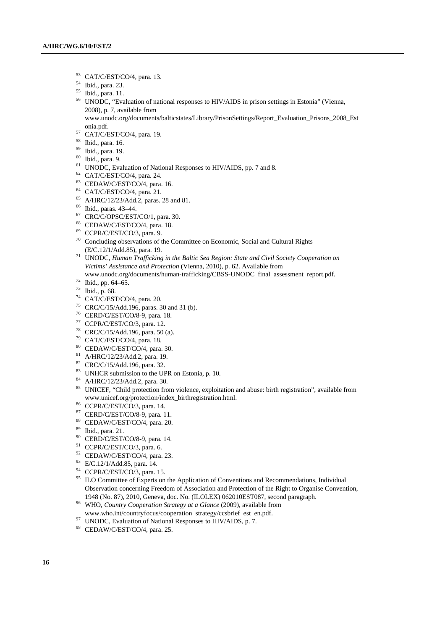- 53 CAT/C/EST/CO/4, para. 13.
- 54 Ibid., para. 23.
- 55 Ibid., para. 11.
- 56 UNODC, "Evaluation of national responses to HIV/AIDS in prison settings in Estonia" (Vienna, 2008), p. 7, available from
- www.unodc.org/documents/balticstates/Library/PrisonSettings/Report\_Evaluation\_Prisons\_2008\_Est onia.pdf. 57 CAT/C/EST/CO/4, para. 19.
- 
- 58 Ibid., para. 16.
- 59 Ibid., para. 19.
- 60 Ibid., para. 9.
- <sup>61</sup> UNODC, Evaluation of National Responses to HIV/AIDS, pp. 7 and 8.<br><sup>62</sup> CAT/C/EST/CO/4, para. 24.
- 
- 63 CEDAW/C/EST/CO/4, para. 16.
- 64 CAT/C/EST/CO/4, para. 21.
- 65 A/HRC/12/23/Add.2, paras. 28 and 81.
- 66 Ibid., paras. 43–44.
- 67 CRC/C/OPSC/EST/CO/1, para. 30.
- 68 CEDAW/C/EST/CO/4, para. 18.
- 69 CCPR/C/EST/CO/3, para. 9.
- 70 Concluding observations of the Committee on Economic, Social and Cultural Rights
- (E/C.12/1/Add.85), para. 19. 71 UNODC, *Human Trafficking in the Baltic Sea Region: State and Civil Society Cooperation on Victims' Assistance and Protection* (Vienna, 2010), p. 62. Available from
- www.unodc.org/documents/human-trafficking/CBSS-UNODC\_final\_assessment\_report.pdf. 72 Ibid., pp. 64–65.
- 
- $73$  Ibid., p. 68.
- 74 CAT/C/EST/CO/4, para. 20.
- <sup>75</sup> CRC/C/15/Add.196, paras. 30 and 31 (b).
- 76 CERD/C/EST/CO/8-9, para. 18.
- 77 CCPR/C/EST/CO/3, para. 12.
- 78 CRC/C/15/Add.196, para. 50 (a).
- 79 CAT/C/EST/CO/4, para. 18.
- 80 CEDAW/C/EST/CO/4, para. 30.
- 81 A/HRC/12/23/Add.2, para. 19.
- 82 CRC/C/15/Add.196, para. 32.
- 83 UNHCR submission to the UPR on Estonia, p. 10.
- 84 A/HRC/12/23/Add.2, para. 30.
- <sup>85</sup> UNICEF, "Child protection from violence, exploitation and abuse: birth registration", available from www.unicef.org/protection/index\_birthregistration.html. 86 CCPR/C/EST/CO/3, para. 14.
- 
- 87 CERD/C/EST/CO/8-9, para. 11.
- 88 CEDAW/C/EST/CO/4, para. 20.
- 89 Ibid., para. 21.
- 90 CERD/C/EST/CO/8-9, para. 14.
- 91 CCPR/C/EST/CO/3, para. 6.
- 92 CEDAW/C/EST/CO/4, para. 23.
- 93 E/C.12/1/Add.85, para. 14.
- 94 CCPR/C/EST/CO/3, para. 15.
- <sup>95</sup> ILO Committee of Experts on the Application of Conventions and Recommendations, Individual Observation concerning Freedom of Association and Protection of the Right to Organise Convention, 1948 (No. 87), 2010, Geneva, doc. No. (ILOLEX) 062010EST087, second paragraph.
- <sup>96</sup> WHO, Country Cooperation Strategy at a Glance (2009), available from
- www.who.int/countryfocus/cooperation\_strategy/ccsbrief\_est\_en.pdf. 97 UNODC, Evaluation of National Responses to HIV/AIDS, p. 7.
- 
- 98 CEDAW/C/EST/CO/4, para. 25.